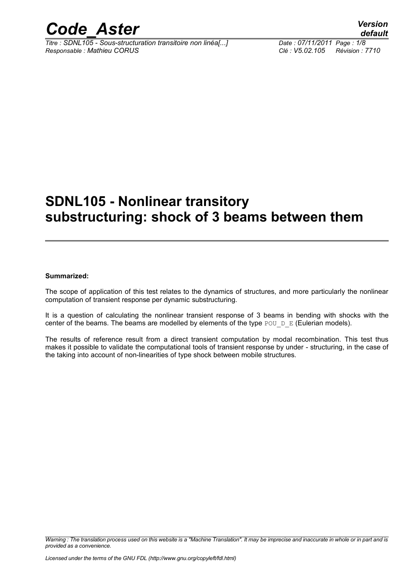

*Titre : SDNL105 - Sous-structuration transitoire non linéa[...] Date : 07/11/2011 Page : 1/8 Responsable : Mathieu CORUS Clé : V5.02.105 Révision : 7710*

# **SDNL105 - Nonlinear transitory substructuring: shock of 3 beams between them**

#### **Summarized:**

The scope of application of this test relates to the dynamics of structures, and more particularly the nonlinear computation of transient response per dynamic substructuring.

It is a question of calculating the nonlinear transient response of 3 beams in bending with shocks with the center of the beams. The beams are modelled by elements of the type POU  $D$  E (Eulerian models).

The results of reference result from a direct transient computation by modal recombination. This test thus makes it possible to validate the computational tools of transient response by under - structuring, in the case of the taking into account of non-linearities of type shock between mobile structures.

*Warning : The translation process used on this website is a "Machine Translation". It may be imprecise and inaccurate in whole or in part and is provided as a convenience.*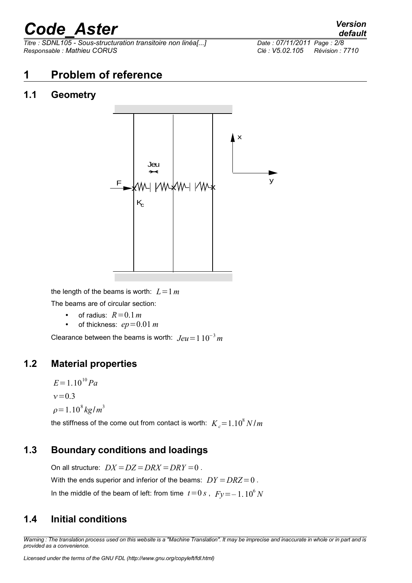*Titre : SDNL105 - Sous-structuration transitoire non linéa[...] Date : 07/11/2011 Page : 2/8 Responsable : Mathieu CORUS Clé : V5.02.105 Révision : 7710*

# **1 Problem of reference**

#### **1.1 Geometry**



the length of the beams is worth:  $L=1$  *m* The beams are of circular section:

- of radius:  $R=0.1$  *m*
- of thickness:  $ep=0.01 m$

Clearance between the beams is worth:  $Jeu=110^{-3}$  *m* 

#### **1.2 Material properties**

$$
E = 1.10^{10} Pa
$$
  

$$
v = 0.3
$$
  

$$
\rho = 1.10^8 kg/m^3
$$

the stiffness of the come out from contact is worth:  $\overline{K}_c\text{=}1.10^8\,N/m$ 

#### **1.3 Boundary conditions and loadings**

On all structure:  $DX = DZ = DRX = DRY = 0$ . With the ends superior and inferior of the beams:  $DY = DRZ = 0$ . In the middle of the beam of left: from time  $t=0 \, s$  ,  $Fy = -1$  ,  $10^6 \, N$ 

## **1.4 Initial conditions**

*Warning : The translation process used on this website is a "Machine Translation". It may be imprecise and inaccurate in whole or in part and is provided as a convenience.*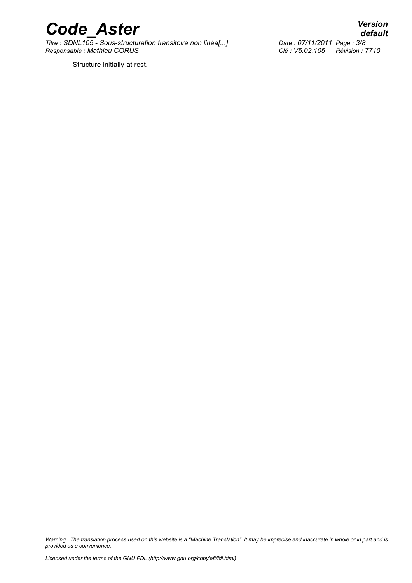

*Titre : SDNL105 - Sous-structuration transitoire non linéa[...] Date : 07/11/2011 Page : 3/8 Responsable : Mathieu CORUS Clé : V5.02.105 Révision : 7710*

Structure initially at rest.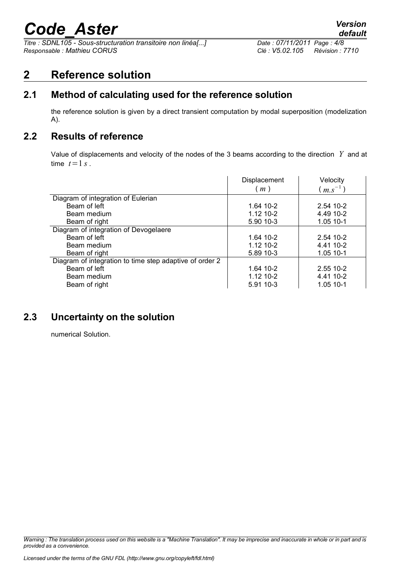*Titre : SDNL105 - Sous-structuration transitoire non linéa[...] Date : 07/11/2011 Page : 4/8 Responsable : Mathieu CORUS Clé : V5.02.105 Révision : 7710*

## **2 Reference solution**

## **2.1 Method of calculating used for the reference solution**

the reference solution is given by a direct transient computation by modal superposition (modelization A).

#### **2.2 Results of reference**

Value of displacements and velocity of the nodes of the 3 beams according to the direction *Y* and at time  $t=1 s$ .

|                                                         | Displacement | Velocity     |
|---------------------------------------------------------|--------------|--------------|
|                                                         | (m)          | $(m.s^{-1})$ |
| Diagram of integration of Eulerian                      |              |              |
| Beam of left                                            | 1.64 10-2    | 2.54 10-2    |
| Beam medium                                             | 1.12 10-2    | 4.49 10-2    |
| Beam of right                                           | 5.90 10-3    | 1.05 10-1    |
| Diagram of integration of Devogelaere                   |              |              |
| Beam of left                                            | 1.64 10-2    | 2.54 10-2    |
| Beam medium                                             | 1.12 10-2    | 4.41 10-2    |
| Beam of right                                           | 5.89 10-3    | 1.05 10-1    |
| Diagram of integration to time step adaptive of order 2 |              |              |
| Beam of left                                            | 1.64 10-2    | 2.55 10-2    |
| Beam medium                                             | 1.12 10-2    | 4.41 10-2    |
| Beam of right                                           | 5.91 10-3    | 1.05 10-1    |

#### **2.3 Uncertainty on the solution**

numerical Solution.

*Warning : The translation process used on this website is a "Machine Translation". It may be imprecise and inaccurate in whole or in part and is provided as a convenience.*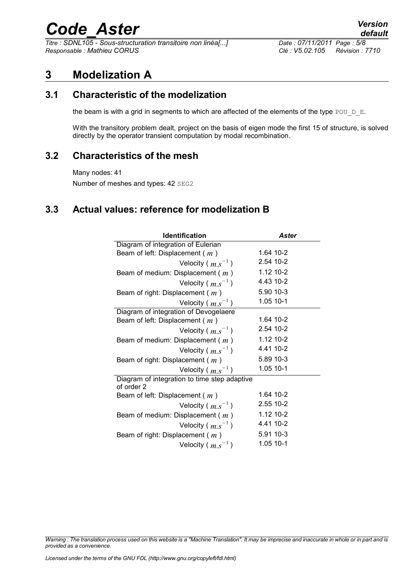*Titre : SDNL105 - Sous-structuration transitoire non linéa[...] Date : 07/11/2011 Page : 5/8 Responsable : Mathieu CORUS Clé : V5.02.105 Révision : 7710*

*default*

## **3 Modelization A**

#### **3.1 Characteristic of the modelization**

the beam is with a grid in segments to which are affected of the elements of the type POU  $D$  E.

With the transitory problem dealt, project on the basis of eigen mode the first 15 of structure, is solved directly by the operator transient computation by modal recombination.

#### **3.2 Characteristics of the mesh**

Many nodes: 41 Number of meshes and types: 42 SEG2

#### **3.3 Actual values: reference for modelization B**

| <b>Identification</b>                                      | Aster     |
|------------------------------------------------------------|-----------|
| Diagram of integration of Eulerian                         |           |
| Beam of left: Displacement $(m)$                           | 1.64 10-2 |
| Velocity ( $m.s^{-1}$ )                                    | 2.54 10-2 |
| Beam of medium: Displacement ( $m$ )                       | 1.12 10-2 |
| Velocity ( $m.s^{-1}$ )                                    | 4.43 10-2 |
| Beam of right: Displacement ( $m$ )                        | 5.90 10-3 |
| Velocity ( $m.s^{-1}$ )                                    | 1.05 10-1 |
| Diagram of integration of Devogelaere                      |           |
| Beam of left: Displacement (m)                             | 1.64 10-2 |
| Velocity ( $m.s^{-1}$ )                                    | 2.54 10-2 |
| Beam of medium: Displacement (m)                           | 1.12 10-2 |
| Velocity ( $m.s^{-1}$ )                                    | 4.41 10-2 |
| Beam of right: Displacement ( $m$ )                        | 5.89 10-3 |
| Velocity ( $m.s^{-1}$ )                                    | 1.05 10-1 |
| Diagram of integration to time step adaptive<br>of order 2 |           |
| Beam of left: Displacement $(m)$                           | 1.64 10-2 |
| Velocity ( $m.s^{-1}$ )                                    | 2.55 10-2 |
| Beam of medium: Displacement (m)                           | 1.12 10-2 |
| Velocity ( $m.s^{-1}$ )                                    | 4.41 10-2 |
| Beam of right: Displacement ( $m$ )                        | 5.91 10-3 |
| Velocity ( $m.s^{-1}$ )                                    | 1.05 10-1 |

*Warning : The translation process used on this website is a "Machine Translation". It may be imprecise and inaccurate in whole or in part and is provided as a convenience.*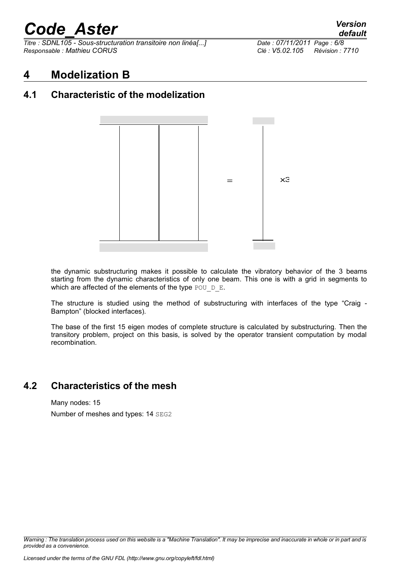*Titre : SDNL105 - Sous-structuration transitoire non linéa[...] Date : 07/11/2011 Page : 6/8 Responsable : Mathieu CORUS Clé : V5.02.105 Révision : 7710*

#### **4 Modelization B**

## **4.1 Characteristic of the modelization**



the dynamic substructuring makes it possible to calculate the vibratory behavior of the 3 beams starting from the dynamic characteristics of only one beam. This one is with a grid in segments to which are affected of the elements of the type POU  $D$  E.

The structure is studied using the method of substructuring with interfaces of the type "Craig - Bampton" (blocked interfaces).

The base of the first 15 eigen modes of complete structure is calculated by substructuring. Then the transitory problem, project on this basis, is solved by the operator transient computation by modal recombination.

#### **4.2 Characteristics of the mesh**

Many nodes: 15 Number of meshes and types: 14 SEG2

*Warning : The translation process used on this website is a "Machine Translation". It may be imprecise and inaccurate in whole or in part and is provided as a convenience.*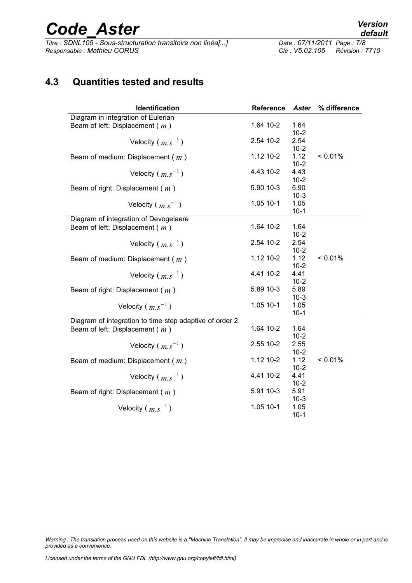*Titre : SDNL105 - Sous-structuration transitoire non linéa[...] Date : 07/11/2011 Page : 07/11/2011 Page : 07/11/201 Responsable : Mathieu CORUS Clé : V5.02.105 Révision : 7710*

### **4.3 Quantities tested and results**

| Identification                                          | Reference | <b>Aster</b>     | % difference |
|---------------------------------------------------------|-----------|------------------|--------------|
| Diagram in integration of Eulerian                      |           |                  |              |
| Beam of left: Displacement ( $m$ )                      | 1.64 10-2 | 1.64             |              |
|                                                         |           | $10 - 2$         |              |
| Velocity ( $m.s^{-1}$ )                                 | 2.54 10-2 | 2.54             |              |
|                                                         |           | $10-2$           |              |
| Beam of medium: Displacement ( $m$ )                    | 1.12 10-2 | 1.12             | $< 0.01\%$   |
|                                                         | 4.43 10-2 | $10 - 2$<br>4.43 |              |
| Velocity ( $m.s^{-1}$ )                                 |           | $10 - 2$         |              |
|                                                         | 5.90 10-3 | 5.90             |              |
| Beam of right: Displacement (m)                         |           | $10-3$           |              |
| Velocity ( $m.s^{-1}$ )                                 | 1.05 10-1 | 1.05             |              |
|                                                         |           | $10-1$           |              |
| Diagram of integration of Devogelaere                   |           |                  |              |
| Beam of left: Displacement (m)                          | 1.64 10-2 | 1.64             |              |
|                                                         |           | $10 - 2$         |              |
| Velocity ( $m.s^{-1}$ )                                 | 2.54 10-2 | 2.54             |              |
|                                                         |           | $10 - 2$         |              |
| Beam of medium: Displacement ( $m$ )                    | 1.12 10-2 | 1.12             | < 0.01%      |
|                                                         |           | $10-2$           |              |
| Velocity ( $m.s^{-1}$ )                                 | 4.41 10-2 | 4.41             |              |
|                                                         | 5.89 10-3 | $10 - 2$         |              |
| Beam of right: Displacement (m)                         |           | 5.89<br>$10-3$   |              |
|                                                         | 1.05 10-1 | 1.05             |              |
| Velocity ( $m.s^{-1}$ )                                 |           | $10-1$           |              |
| Diagram of integration to time step adaptive of order 2 |           |                  |              |
| Beam of left: Displacement (m)                          | 1.64 10-2 | 1.64             |              |
|                                                         |           | $10 - 2$         |              |
| Velocity ( $m.s^{-1}$ )                                 | 2.55 10-2 | 2.55             |              |
|                                                         |           | $10 - 2$         |              |
| Beam of medium: Displacement ( $m$ )                    | 1.12 10-2 | 1.12             | < 0.01%      |
|                                                         |           | $10 - 2$         |              |
| Velocity ( $m.s^{-1}$ )                                 | 4.41 10-2 | 4.41             |              |
|                                                         |           | $10 - 2$         |              |
| Beam of right: Displacement (m)                         | 5.91 10-3 | 5.91             |              |
|                                                         | 1.05 10-1 | $10-3$<br>1.05   |              |
| Velocity ( $m.s^{-1}$ )                                 |           | $10 - 1$         |              |
|                                                         |           |                  |              |

*Warning : The translation process used on this website is a "Machine Translation". It may be imprecise and inaccurate in whole or in part and is provided as a convenience.*